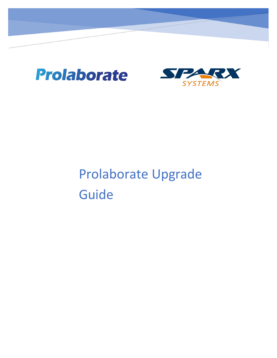

de la construcción de la construcción de la construcción de la construcción de la construcción de la construcción de la construcción de la construcción de la construcción de la construcción de la construcción de la constru



# Prolaborate Upgrade Guide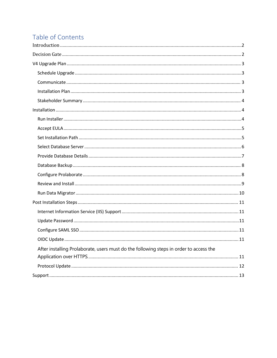# Table of Contents

| After installing Prolaborate, users must do the following steps in order to access the |
|----------------------------------------------------------------------------------------|
|                                                                                        |
|                                                                                        |
|                                                                                        |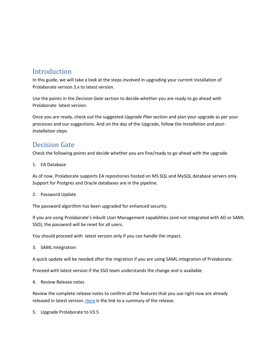## <span id="page-2-0"></span>**Introduction**

In this guide, we will take a look at the steps involved in upgrading your current installation of Prolaborate version 3.x to latest version.

Use the points in the *Decision Gate* section to decide whether you are ready to go ahead with Prolaborate latest version.

Once you are ready, check out the suggested *Upgrade Plan* section and plan your upgrade as per your processes and our suggestions. And on the day of the Upgrade, follow the *Installation* and *post-Installation steps*.

# <span id="page-2-1"></span>Decision Gate

Check the following points and decide whether you are fine/ready to go ahead with the upgrade.

1. EA Database

As of now, Prolaborate supports EA repositories hosted on MS SQL and MySQL database servers only. Support for Postgres and Oracle databases are in the pipeline.

2. Password Update

The password algorithm has been upgraded for enhanced security.

If you are using Prolaborate's inbuilt User Management capabilities (and not integrated with AD or SAML SSO), the password will be reset for all users.

You should proceed with latest version only if you can handle the impact.

3. SAML Integration

A quick update will be needed after the migration if you are using SAML integration of Prolaborate.

Proceed with latest version if the SSO team understands the change and is available.

4. Review Release notes

Review the complete release notes to confirm all the features that you use right now are already released in latest version. [Here](https://prolaborate.sparxsystems.com/resources/release-history/release-notes-v4?id=411) is the link to a summary of the release.

5. Upgrade Prolaborate to V3.5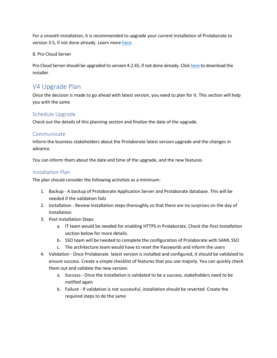For a smooth installation, it is recommended to upgrade your current installation of Prolaborate to version 3.5, if not done already. Learn more [here.](https://prolaborate.sparxsystems.com/resources/release-history/release-notes-v3?id=350)

8. Pro Cloud Server

Pro Cloud Server should be upgraded to version 4.2.65, if not done already. Click [here](https://sparxsystems.com/products/procloudserver/downloads.html) to download the installer.

## <span id="page-3-0"></span>V4 Upgrade Plan

Once the decision is made to go ahead with latest version, you need to plan forit. This section will help you with the same.

#### <span id="page-3-1"></span>Schedule Upgrade

Check out the details of this planning section and finalize the date of the upgrade.

#### <span id="page-3-2"></span>Communicate

Inform the business stakeholders about the Prolaborate latest version upgrade and the changes in advance.

You can inform them about the date and time of the upgrade, and the new features.

#### <span id="page-3-3"></span>Installation Plan

The plan should consider the following activities as a minimum:

- 1. Backup A backup of Prolaborate Application Server and Prolaborate database. This will be needed if the validation fails
- 2. Installation Review Installation steps thoroughly so that there are no surprises on the day of installation.
- 3. Post Installation Steps
	- a. IT team would be needed for enabling HTTPS in Prolaborate. Check the *Post Installation* section below for more details.
	- b. SSO team will be needed to complete the configuration of Prolaborate with SAML SSO
	- c. The architecture team would have to reset the Passwords and inform the users
- 4. Validation Once Prolaborate latest version is installed and configured, it should be validated to ensure success. Create a simple checklist of features that you use majorly. You can quickly check them out and validate the new version.
	- a. Success Once the installation is validated to be a success, stakeholders need to be notified again
	- b. Failure If validation is not successful, installation should be reverted. Create the required steps to do the same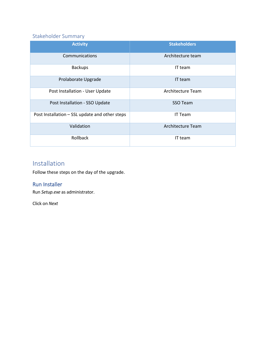## <span id="page-4-0"></span>Stakeholder Summary

| <b>Activity</b>                                | <b>Stakeholders</b>      |
|------------------------------------------------|--------------------------|
| Communications                                 | Architecture team        |
| <b>Backups</b>                                 | IT team                  |
| Prolaborate Upgrade                            | IT team                  |
| Post Installation - User Update                | <b>Architecture Team</b> |
| Post Installation - SSO Update                 | SSO Team                 |
| Post Installation - SSL update and other steps | IT Team                  |
| Validation                                     | <b>Architecture Team</b> |
| Rollback                                       | IT team                  |

# <span id="page-4-1"></span>Installation

Follow these steps on the day of the upgrade.

#### <span id="page-4-2"></span>Run Installer

Run *Setup.exe* as administrator.

Click on *Next*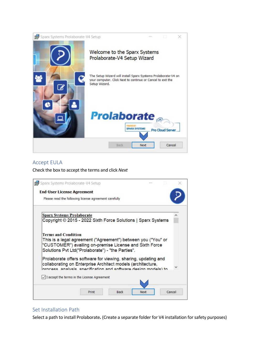

#### <span id="page-5-0"></span>Accept EULA

Check the box to accept the terms and click *Next*



#### <span id="page-5-1"></span>Set Installation Path

Select a path to install Prolaborate**.** (Create a separate folder for V4 installation forsafety purposes)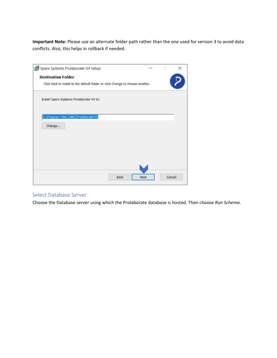**Important Note:** Please use an alternate folder path rather than the one used for version 3 to avoid data conflicts. Also, this helps in rollback if needed.

| Sparx Systems Prolaborate-V4 Setup                                             |  |  |
|--------------------------------------------------------------------------------|--|--|
| <b>Destination Folder</b>                                                      |  |  |
| Click Next to install to the default folder or click Change to choose another. |  |  |
| Install Sparx Systems Prolaborate-V4 to:                                       |  |  |
| C:\Program Files (x86)\ProlaborateV4\                                          |  |  |
| Change                                                                         |  |  |
|                                                                                |  |  |
|                                                                                |  |  |
|                                                                                |  |  |
|                                                                                |  |  |
|                                                                                |  |  |

#### <span id="page-6-0"></span>Select Database Server

Choose the Database server using which the Prolaborate database is hosted. Then choose *Run Schema*.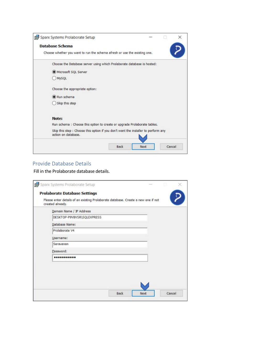| Sparx Systems Prolaborate Setup                                                                           |      |      |        |
|-----------------------------------------------------------------------------------------------------------|------|------|--------|
| <b>Database Schema</b>                                                                                    |      |      |        |
| Choose whether you want to run the schema afresh or use the existing one.                                 |      |      |        |
| Choose the Database server using which Prolaborate database is hosted:                                    |      |      |        |
| Microsoft SQL Server                                                                                      |      |      |        |
| MySQL                                                                                                     |      |      |        |
| Choose the appropriate option:                                                                            |      |      |        |
| Run schema                                                                                                |      |      |        |
| Skip this step                                                                                            |      |      |        |
| Note:                                                                                                     |      |      |        |
| Run schema : Choose this option to create or upgrade Prolaborate tables.                                  |      |      |        |
| Skip this step : Choose this option if you don't want the installer to perform any<br>action on database. |      |      |        |
|                                                                                                           | Back | Next | Cancel |

## <span id="page-7-0"></span>Provide Database Details

Fill in the Prolaborate database details.

| Domain Name / IP Address   |
|----------------------------|
| DESKTOP-P9V8VSR\SQLEXPRESS |
| Database Name:             |
| Prolaborate V4             |
| Username:                  |
| Sarayanan                  |
| Password:                  |
|                            |
|                            |
|                            |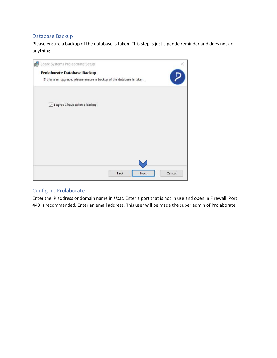#### <span id="page-8-0"></span>Database Backup

Please ensure a backup of the database is taken. This step is just a gentle reminder and does not do anything.



#### <span id="page-8-1"></span>Configure Prolaborate

Enter the IP address or domain name in *Host.* Enter a port that is not in use and open in Firewall. Port 443 is recommended. Enter an email address. This user will be made the super admin of Prolaborate.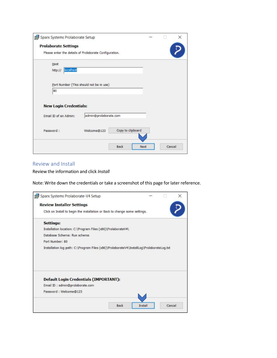| <b>Prolaborate Settings</b>                            |                                         |                   |  |  |
|--------------------------------------------------------|-----------------------------------------|-------------------|--|--|
| Please enter the details of Prolaborate Configuration. |                                         |                   |  |  |
| Host                                                   |                                         |                   |  |  |
| localhost<br>http://                                   |                                         |                   |  |  |
|                                                        | Port Number (This should not be in use) |                   |  |  |
| 80                                                     |                                         |                   |  |  |
|                                                        |                                         |                   |  |  |
|                                                        |                                         |                   |  |  |
| <b>New Login Credentials:</b>                          |                                         |                   |  |  |
| Email ID of an Admin:                                  | admin@prolaborate.com                   |                   |  |  |
| Password:                                              | Welcome@123                             | Copy to clipboard |  |  |
|                                                        |                                         |                   |  |  |

#### <span id="page-9-0"></span>Review and Install

Review the information and click *Install*

Note: Write down the credentials or take a screenshot of this page for later reference.

| <b>Review Installer Settings</b>                                                          |      |         |        |
|-------------------------------------------------------------------------------------------|------|---------|--------|
| Click on Install to begin the installation or Back to change some settings.               |      |         |        |
| <b>Settings:</b>                                                                          |      |         |        |
| Installation location: C:\Program Files (x86)\ProlaborateV4\                              |      |         |        |
| Database Schema: Run schema                                                               |      |         |        |
| Port Number: 80                                                                           |      |         |        |
|                                                                                           |      |         |        |
| Installation log path: C:\Program Files (x86)\ProlaborateV4\InstallLog\ProlaborateLog.txt |      |         |        |
| <b>Default Login Credentials (IMPORTANT):</b>                                             |      |         |        |
| Email ID: admin@prolaborate.com                                                           |      |         |        |
| Password: Welcome@123                                                                     |      |         |        |
|                                                                                           | Back | Install | Cancel |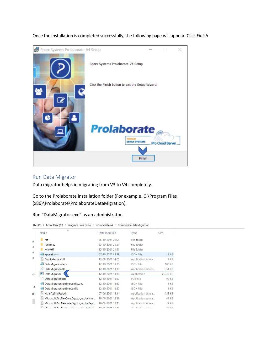

Once the installation is completed successfully, the following page will appear. Click *Finish*

#### <span id="page-10-0"></span>Run Data Migrator

Data migrator helps in migrating from V3 to V4 completely.

Go to the Prolaborate installation folder (For example, C:\Program Files (x86)\Prolaborate\ProlaborateDataMigration).

| Run "DataMigrator.exe" as an administrator. |  |
|---------------------------------------------|--|
|---------------------------------------------|--|

|  |  | This PC > Local Disk (C:) > Program Files (x86) > ProlaborateV4 > ProlaborateDataMigration |
|--|--|--------------------------------------------------------------------------------------------|
|  |  |                                                                                            |

| $\lambda$<br>Name                            | Date modified    | Type                           | Size          |
|----------------------------------------------|------------------|--------------------------------|---------------|
| ref                                          | 25-10-2021 21:51 | File folder                    |               |
| runtimes                                     | 25-10-2021 21:51 | File folder                    |               |
| $win-x64$                                    | 25-10-2021 21:51 | File folder                    |               |
| appsettings                                  | 07-10-2021 09:19 | <b>JSON File</b>               | 2KB           |
| CryptoService.dll<br>闽                       | 12-08-2021 14:05 | Application extens             | 7 KB          |
| DataMigrator.deps                            | 12-10-2021 13:30 | <b>JSON File</b>               | <b>100 KB</b> |
| DataMigrator.dll                             | 12-10-2021 13:30 | Application extens             | 351 KB        |
| <b>DataMigrator</b><br>Œ<br>ati              | 12-10-2021 13:30 | Application                    | 96.349 KB     |
| DataMigrator.pdb                             | 12-10-2021 13:30 | PDB File                       | 92 KB         |
| DataMigrator.runtimeconfig.dev               | 12-10-2021 13:30 | JSON File                      | 1 KB          |
| DataMigrator.runtimeconfig                   | 12-10-2021 13:30 | <b>JSON File</b>               | 1 KB          |
| <b>HtmlAgilityPack.dll</b><br>岡<br>IΤI       | 07-06-2021 14:14 | Application extens             | 158 KB        |
| Microsoft.AspNetCore.Cryptography.Inter<br>裪 | 18-06-2021 18:13 | Application extens             | 41 KB         |
| Microsoft.AspNetCore.Cryptography.Key        | 18-06-2021 18:15 | Application extens             | 22 KB         |
| Missource & Acabiat Corp. Disconsider Eating | 10 GC 3034 10-15 | A sain Hampton or an other own | フロ レロ         |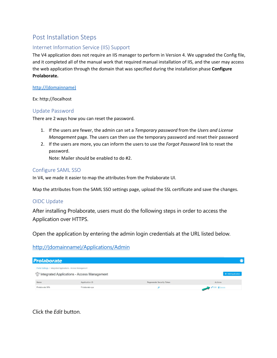## <span id="page-11-0"></span>Post Installation Steps

#### <span id="page-11-1"></span>Internet Information Service (IIS) Support

The V4 application does not require an IIS manager to perform in Version 4. We upgraded the Config file, and it completed all of the manual work that required manual installation of IIS, and the user may access the web application through the domain that was specified during the installation phase **Configure Prolaborate.**

#### [http://\(domainname\)](http://(domainname))

Ex: http://localhost

#### <span id="page-11-2"></span>Update Password

There are 2 ways how you can reset the password.

- 1. If the users are fewer, the admin can set a *Temporary password* from the *Users and License Management* page. The users can then use the temporary password and reset their password
- 2. If the users are more, you can inform the users to use the *Forgot Password* link to reset the password.

Note: Mailer should be enabled to do #2.

#### <span id="page-11-3"></span>Configure SAML SSO

In V4, we made it easier to map the attributes from the Prolaborate UI.

Map the attributes from the SAML SSO settings page, upload the SSL certificate and save the changes.

#### <span id="page-11-4"></span>OIDC Update

<span id="page-11-5"></span>After installing Prolaborate, users must do the following steps in order to access the Application over HTTPS.

Open the application by entering the admin login credentials at the URL listed below.

#### [http://\(domainname\)/Applications/Admin](http://domainname/Applications/Admin)

| <b>Prolaborate</b>                                            |                                                            |                           |                             |
|---------------------------------------------------------------|------------------------------------------------------------|---------------------------|-----------------------------|
| Portal Settings / Integrated Applications - Access Management | <sup>ere</sup> Integrated Applications - Access Management |                           | + Add Application           |
| Name                                                          | Application ID                                             | Regenerate Security Token | Actions                     |
| Prolaborate SPA                                               | Prolaborate-spa                                            |                           | <b>C</b> Edit <b>Delete</b> |

### Click the *Edit* button.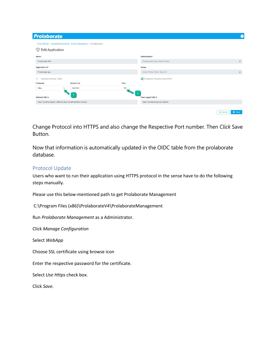| <b>Prolaborate</b>                   |                                                                                  |      |                                     | c                                |
|--------------------------------------|----------------------------------------------------------------------------------|------|-------------------------------------|----------------------------------|
|                                      | Portal Settings / Integrated Applications - Access Management / Edit Application |      |                                     |                                  |
| <b>Contract Edit Application</b>     |                                                                                  |      |                                     |                                  |
| Name <sup>*</sup>                    |                                                                                  |      | Authorization *                     |                                  |
| Prolaborate SPA                      |                                                                                  |      | AuthorizationCode, RefreshToken     | $\hat{\div}$                     |
| Application ID <sup>*</sup>          |                                                                                  |      | Scope                               |                                  |
| Prolaborate-spa                      |                                                                                  |      | Email, Profile, Roles, Open ID      | $\hat{\mathbf{v}}$               |
| Generate Security Token<br><b>65</b> |                                                                                  |      | Enhance Security using PKCE         |                                  |
| Protocols                            | Domain Url                                                                       | Port |                                     |                                  |
| <b>Https</b>                         | localhost<br>$\checkmark$                                                        | 443  |                                     |                                  |
| <b>Redirect URL's</b>                |                                                                                  |      | $\overline{2}$<br>Post Logout URL's |                                  |
|                                      | https://localhost/signin-callback.https://localhost/silent-redirect              |      | https://localhost/signout-callback  |                                  |
|                                      |                                                                                  |      |                                     |                                  |
|                                      |                                                                                  |      |                                     | <b>x</b> Cancel<br><b>a</b> Save |

Change Protocol into HTTPS and also change the Respective Port number. Then *Click* Save Button.

Now that information is automatically updated in the OIDC table from the prolaborate database.

#### <span id="page-12-0"></span>Protocol Update

Users who want to run their application using HTTPS protocol in the sense have to do the following steps manually.

Please use this below-mentioned path to get Prolaborate Management

C:\Program Files (x86)\ProlaborateV4\ProlaborateManagement

Run *Prolaborate Management* as a Administrator.

Click *Manage Configuration*

Select *WebApp*

Choose SSL certificate using browse icon

Enter the respective password for the certificate.

Select *Use Https* check box.

Click *Save.*